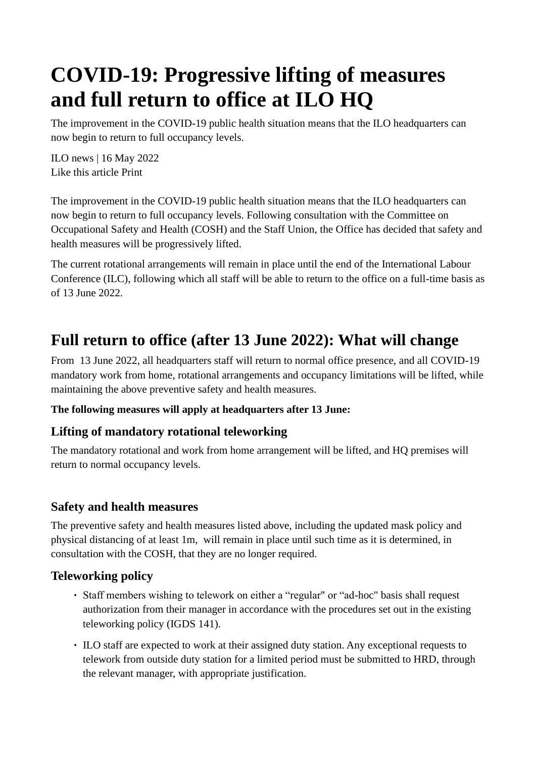# **COVID-19: Progressive lifting of measures and full return to office at ILO HQ**

The improvement in the COVID-19 public health situation means that the ILO headquarters can now begin to return to full occupancy levels.

ILO news | 16 May 2022 Like this article Print

The improvement in the COVID-19 public health situation means that the ILO headquarters can now begin to return to full occupancy levels. Following consultation with the Committee on Occupational Safety and Health (COSH) and the Staff Union, the Office has decided that safety and health measures will be progressively lifted.

The current rotational arrangements will remain in place until the end of the International Labour Conference (ILC), following which all staff will be able to return to the office on a full-time basis as of 13 June 2022.

# **Full return to office (after 13 June 2022): What will change**

From 13 June 2022, all headquarters staff will return to normal office presence, and all COVID-19 mandatory work from home, rotational arrangements and occupancy limitations will be lifted, while maintaining the above preventive safety and health measures.

#### **The following measures will apply at headquarters after 13 June:**

# **Lifting of mandatory rotational teleworking**

The mandatory rotational and work from home arrangement will be lifted, and HQ premises will return to normal occupancy levels.

# **Safety and health measures**

The preventive safety and health measures listed above, including the updated mask policy and physical distancing of at least 1m, will remain in place until such time as it is determined, in consultation with the COSH, that they are no longer required.

## **Teleworking policy**

- Staff members wishing to telework on either a "regular" or "ad-hoc" basis shall request authorization from their manager in accordance with the procedures set out in the existing teleworking policy (IGDS 141).
- ILO staff are expected to work at their assigned duty station. Any exceptional requests to telework from outside duty station for a limited period must be submitted to HRD, through the relevant manager, with appropriate justification.